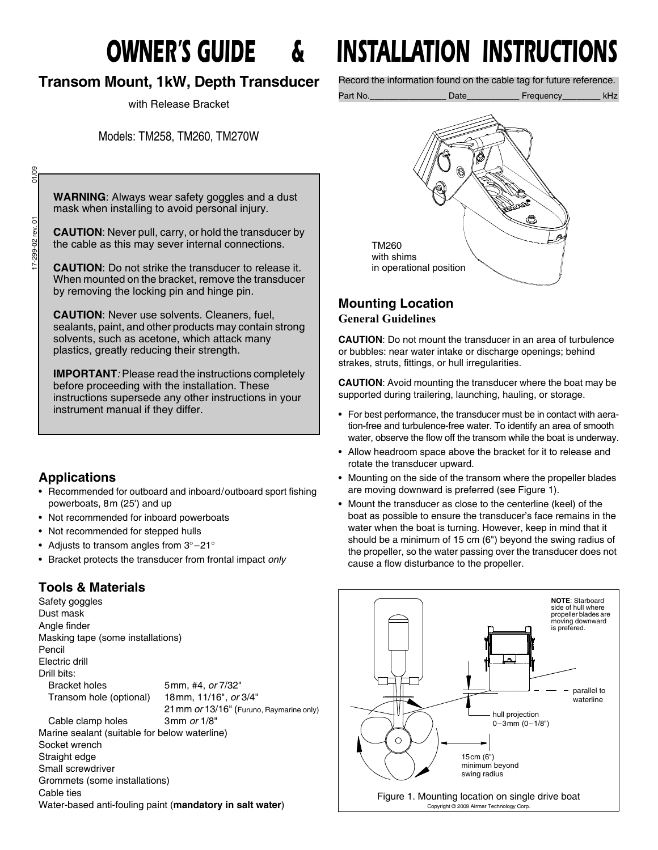# **Transom Mount, 1kW, Depth Transducer**

with Release Bracket

Models: TM258, TM260, TM270W

01/09 17-299-02 rev. 01 01/09 17-299-02 rev. 01

**WARNING**: Always wear safety goggles and a dust mask when installing to avoid personal injury.

**CAUTION**: Never pull, carry, or hold the transducer by the cable as this may sever internal connections.

**CAUTION**: Do not strike the transducer to release it. When mounted on the bracket, remove the transducer by removing the locking pin and hinge pin.

**CAUTION**: Never use solvents. Cleaners, fuel, sealants, paint, and other products may contain strong solvents, such as acetone, which attack many plastics, greatly reducing their strength.

**IMPORTANT***:* Please read the instructions completely before proceeding with the installation. These instructions supersede any other instructions in your instrument manual if they differ.

# **Applications**

- Recommended for outboard and inboard/outboard sport fishing powerboats, 8m (25') and up
- Not recommended for inboard powerboats
- Not recommended for stepped hulls
- Adjusts to transom angles from 3°-21°
- Bracket protects the transducer from frontal impact *only*

# **Tools & Materials**

Cable ties

Safety goggles Dust mask Angle finder Masking tape (some installations) Pencil Electric drill Drill bits: Bracket holes 5mm, #4, *or* 7/32" Transom hole (optional) 18mm, 11/16", *or* 3/4" 21mm *or* 13/16" (Furuno, Raymarine only) Cable clamp holes 3mm *or* 1/8" Marine sealant (suitable for below waterline) Socket wrench Straight edge Small screwdriver Grommets (some installations)

Water-based anti-fouling paint (**mandatory in salt water**)

# *OWNER'S GUIDE & INSTALLATION INSTRUCTIONS*

Record the information found on the cable tag for future reference.



# **Mounting Location General Guidelines**

**CAUTION**: Do not mount the transducer in an area of turbulence or bubbles: near water intake or discharge openings; behind strakes, struts, fittings, or hull irregularities.

**CAUTION**: Avoid mounting the transducer where the boat may be supported during trailering, launching, hauling, or storage.

- For best performance, the transducer must be in contact with aeration-free and turbulence-free water. To identify an area of smooth water, observe the flow off the transom while the boat is underway.
- Allow headroom space above the bracket for it to release and rotate the transducer upward.
- Mounting on the side of the transom where the propeller blades are moving downward is preferred (see Figure 1).
- Mount the transducer as close to the centerline (keel) of the boat as possible to ensure the transducer's face remains in the water when the boat is turning. However, keep in mind that it should be a minimum of 15 cm (6") beyond the swing radius of the propeller, so the water passing over the transducer does not cause a flow disturbance to the propeller.

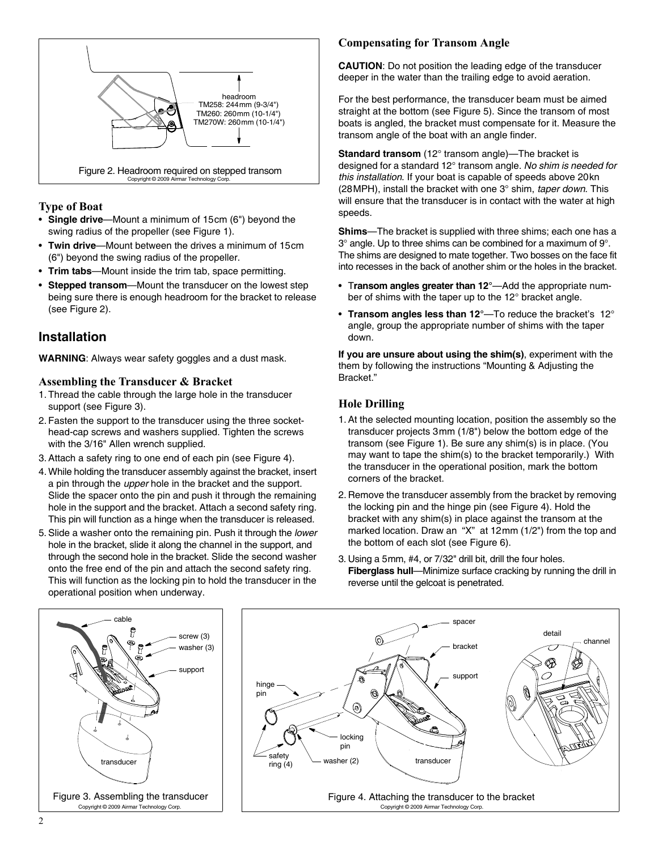

#### **Type of Boat**

- **Single drive**—Mount a minimum of 15cm (6") beyond the swing radius of the propeller (see Figure 1).
- **Twin drive**—Mount between the drives a minimum of 15cm (6") beyond the swing radius of the propeller.
- **Trim tabs**—Mount inside the trim tab, space permitting.
- **Stepped transom**—Mount the transducer on the lowest step being sure there is enough headroom for the bracket to release (see Figure 2).

# **Installation**

**WARNING**: Always wear safety goggles and a dust mask.

#### **Assembling the Transducer & Bracket**

- 1. Thread the cable through the large hole in the transducer support (see Figure 3).
- 2. Fasten the support to the transducer using the three sockethead-cap screws and washers supplied. Tighten the screws with the 3/16" Allen wrench supplied.
- 3. Attach a safety ring to one end of each pin (see Figure 4).
- 4. While holding the transducer assembly against the bracket, insert a pin through the *upper* hole in the bracket and the support. Slide the spacer onto the pin and push it through the remaining hole in the support and the bracket. Attach a second safety ring. This pin will function as a hinge when the transducer is released.
- 5. Slide a washer onto the remaining pin. Push it through the *lower* hole in the bracket, slide it along the channel in the support, and through the second hole in the bracket. Slide the second washer onto the free end of the pin and attach the second safety ring. This will function as the locking pin to hold the transducer in the operational position when underway.

#### **Compensating for Transom Angle**

**CAUTION**: Do not position the leading edge of the transducer deeper in the water than the trailing edge to avoid aeration.

For the best performance, the transducer beam must be aimed straight at the bottom (see Figure 5). Since the transom of most boats is angled, the bracket must compensate for it. Measure the transom angle of the boat with an angle finder.

**Standard transom** (12° transom angle)—The bracket is designed for a standard 12° transom angle. *No shim is needed for this installation*. If your boat is capable of speeds above 20kn (28MPH), install the bracket with one 3° shim, *taper down*. This will ensure that the transducer is in contact with the water at high speeds.

**Shims**—The bracket is supplied with three shims; each one has a 3° angle. Up to three shims can be combined for a maximum of 9°. The shims are designed to mate together. Two bosses on the face fit into recesses in the back of another shim or the holes in the bracket.

- T**ransom angles greater than 12°**—Add the appropriate number of shims with the taper up to the 12° bracket angle.
- **Transom angles less than 12°**—To reduce the bracket's 12° angle, group the appropriate number of shims with the taper down.

**If you are unsure about using the shim(s)**, experiment with the them by following the instructions "Mounting & Adjusting the Bracket."

### **Hole Drilling**

- 1. At the selected mounting location, position the assembly so the transducer projects 3mm (1/8") below the bottom edge of the transom (see Figure 1). Be sure any shim(s) is in place. (You may want to tape the shim(s) to the bracket temporarily.) With the transducer in the operational position, mark the bottom corners of the bracket.
- 2. Remove the transducer assembly from the bracket by removing the locking pin and the hinge pin (see Figure 4). Hold the bracket with any shim(s) in place against the transom at the marked location. Draw an "X" at 12mm (1/2") from the top and the bottom of each slot (see Figure 6).
- 3. Using a 5mm, #4, or 7/32" drill bit, drill the four holes. **Fiberglass hull**—Minimize surface cracking by running the drill in reverse until the gelcoat is penetrated.



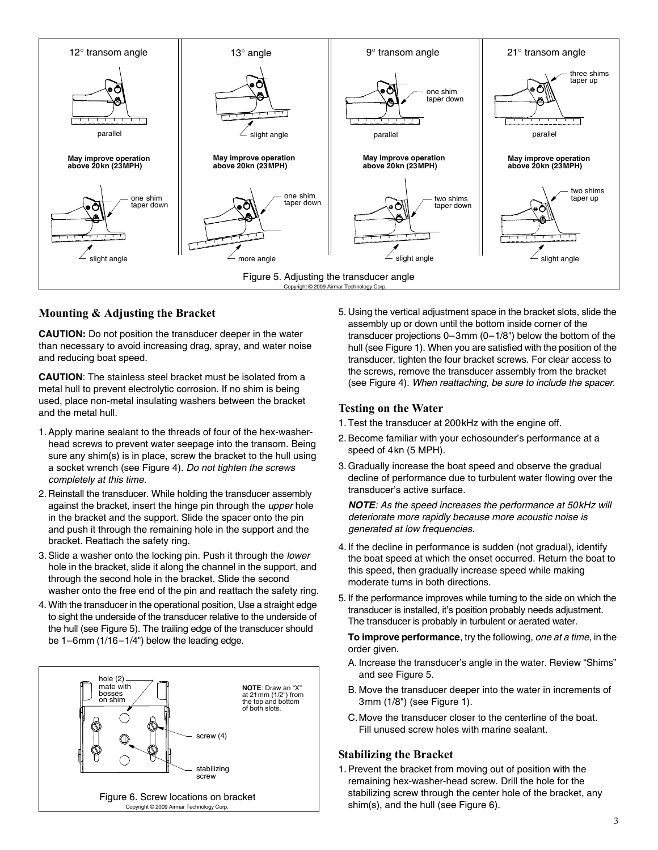

#### **Mounting & Adjusting the Bracket**

**CAUTION:** Do not position the transducer deeper in the water than necessary to avoid increasing drag, spray, and water noise and reducing boat speed.

**CAUTION**: The stainless steel bracket must be isolated from a metal hull to prevent electrolytic corrosion. If no shim is being used, place non-metal insulating washers between the bracket and the metal hull.

- 1. Apply marine sealant to the threads of four of the hex-washerhead screws to prevent water seepage into the transom. Being sure any shim(s) is in place, screw the bracket to the hull using a socket wrench (see Figure 4). *Do not tighten the screws completely at this time.*
- 2. Reinstall the transducer. While holding the transducer assembly against the bracket, insert the hinge pin through the *upper* hole in the bracket and the support. Slide the spacer onto the pin and push it through the remaining hole in the support and the bracket. Reattach the safety ring.
- 3. Slide a washer onto the locking pin. Push it through the *lower* hole in the bracket, slide it along the channel in the support, and through the second hole in the bracket. Slide the second washer onto the free end of the pin and reattach the safety ring.
- 4. With the transducer in the operational position, Use a straight edge to sight the underside of the transducer relative to the underside of the hull (see Figure 5). The trailing edge of the transducer should be 1–6mm (1/16–1/4") below the leading edge.



5. Using the vertical adjustment space in the bracket slots, slide the assembly up or down until the bottom inside corner of the transducer projections 0–3mm (0–1/8") below the bottom of the hull (see Figure 1). When you are satisfied with the position of the transducer, tighten the four bracket screws. For clear access to the screws, remove the transducer assembly from the bracket (see Figure 4). *When reattaching, be sure to include the spacer*.

#### **Testing on the Water**

- 1. Test the transducer at 200kHz with the engine off.
- 2. Become familiar with your echosounder's performance at a speed of 4kn (5 MPH).
- 3. Gradually increase the boat speed and observe the gradual decline of performance due to turbulent water flowing over the transducer's active surface.

*NOTE: As the speed increases the performance at 50kHz will deteriorate more rapidly because more acoustic noise is generated at low frequencies.*

- 4. If the decline in performance is sudden (not gradual), identify the boat speed at which the onset occurred. Return the boat to this speed, then gradually increase speed while making moderate turns in both directions.
- 5. If the performance improves while turning to the side on which the transducer is installed, it's position probably needs adjustment. The transducer is probably in turbulent or aerated water.

**To improve performance**, try the following, *one at a time,* in the order given.

- A. Increase the transducer's angle in the water. Review "Shims" and see Figure 5.
- B. Move the transducer deeper into the water in increments of 3mm (1/8") (see Figure 1).
- C.Move the transducer closer to the centerline of the boat. Fill unused screw holes with marine sealant.

#### **Stabilizing the Bracket**

1. Prevent the bracket from moving out of position with the remaining hex-washer-head screw. Drill the hole for the stabilizing screw through the center hole of the bracket, any shim(s), and the hull (see Figure 6).